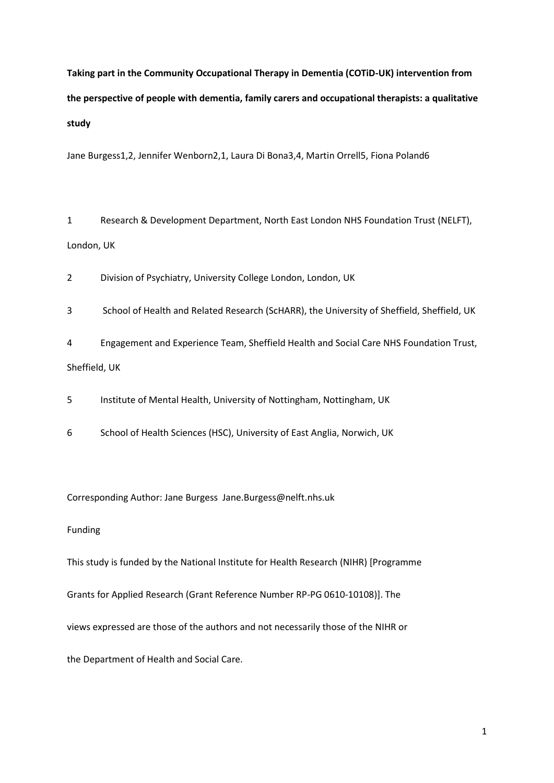**Taking part in the Community Occupational Therapy in Dementia (COTiD-UK) intervention from the perspective of people with dementia, family carers and occupational therapists: a qualitative study**

Jane Burgess1,2, Jennifer Wenborn2,1, Laura Di Bona3,4, Martin Orrell5, Fiona Poland6

1 Research & Development Department, North East London NHS Foundation Trust (NELFT), London, UK

2 Division of Psychiatry, University College London, London, UK

3 School of Health and Related Research (ScHARR), the University of Sheffield, Sheffield, UK

4 Engagement and Experience Team, Sheffield Health and Social Care NHS Foundation Trust, Sheffield, UK

5 Institute of Mental Health, University of Nottingham, Nottingham, UK

6 School of Health Sciences (HSC), University of East Anglia, Norwich, UK

Corresponding Author: Jane Burgess Jane.Burgess@nelft.nhs.uk

## Funding

This study is funded by the National Institute for Health Research (NIHR) [Programme

Grants for Applied Research (Grant Reference Number RP-PG 0610-10108)]. The

views expressed are those of the authors and not necessarily those of the NIHR or

the Department of Health and Social Care.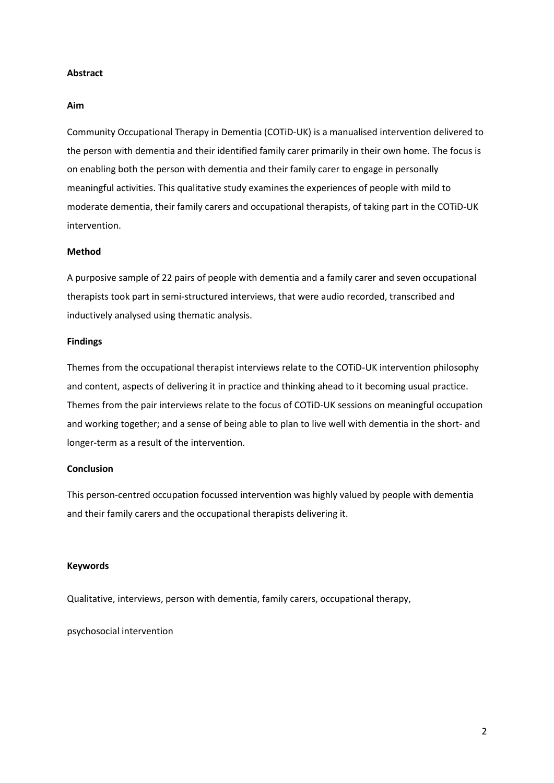## **Abstract**

## **Aim**

Community Occupational Therapy in Dementia (COTiD-UK) is a manualised intervention delivered to the person with dementia and their identified family carer primarily in their own home. The focus is on enabling both the person with dementia and their family carer to engage in personally meaningful activities. This qualitative study examines the experiences of people with mild to moderate dementia, their family carers and occupational therapists, of taking part in the COTiD-UK intervention.

# **Method**

A purposive sample of 22 pairs of people with dementia and a family carer and seven occupational therapists took part in semi-structured interviews, that were audio recorded, transcribed and inductively analysed using thematic analysis.

## **Findings**

Themes from the occupational therapist interviews relate to the COTiD-UK intervention philosophy and content, aspects of delivering it in practice and thinking ahead to it becoming usual practice. Themes from the pair interviews relate to the focus of COTiD-UK sessions on meaningful occupation and working together; and a sense of being able to plan to live well with dementia in the short- and longer-term as a result of the intervention.

# **Conclusion**

This person-centred occupation focussed intervention was highly valued by people with dementia and their family carers and the occupational therapists delivering it.

## **Keywords**

Qualitative, interviews, person with dementia, family carers, occupational therapy,

psychosocial intervention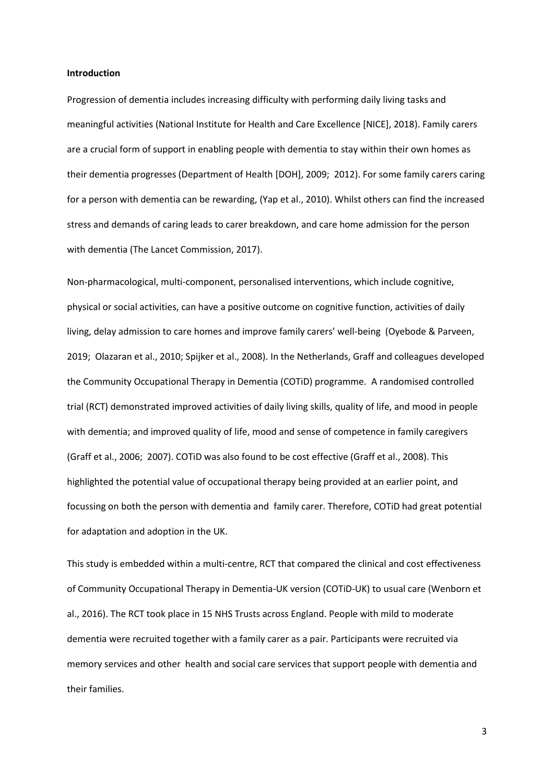#### **Introduction**

Progression of dementia includes increasing difficulty with performing daily living tasks and meaningful activities (National Institute for Health and Care Excellence [NICE], 2018). Family carers are a crucial form of support in enabling people with dementia to stay within their own homes as their dementia progresses (Department of Health [DOH], 2009; 2012). For some family carers caring for a person with dementia can be rewarding, (Yap et al., 2010). Whilst others can find the increased stress and demands of caring leads to carer breakdown, and care home admission for the person with dementia (The Lancet Commission, 2017).

Non-pharmacological, multi-component, personalised interventions, which include cognitive, physical or social activities, can have a positive outcome on cognitive function, activities of daily living, delay admission to care homes and improve family carers' well-being (Oyebode & Parveen, 2019; Olazaran et al., 2010; Spijker et al., 2008). In the Netherlands, Graff and colleagues developed the Community Occupational Therapy in Dementia (COTiD) programme. A randomised controlled trial (RCT) demonstrated improved activities of daily living skills, quality of life, and mood in people with dementia; and improved quality of life, mood and sense of competence in family caregivers (Graff et al., 2006; 2007). COTiD was also found to be cost effective (Graff et al., 2008). This highlighted the potential value of occupational therapy being provided at an earlier point, and focussing on both the person with dementia and family carer. Therefore, COTiD had great potential for adaptation and adoption in the UK.

This study is embedded within a multi-centre, RCT that compared the clinical and cost effectiveness of Community Occupational Therapy in Dementia-UK version (COTiD-UK) to usual care (Wenborn et al., 2016). The RCT took place in 15 NHS Trusts across England. People with mild to moderate dementia were recruited together with a family carer as a pair. Participants were recruited via memory services and other health and social care services that support people with dementia and their families.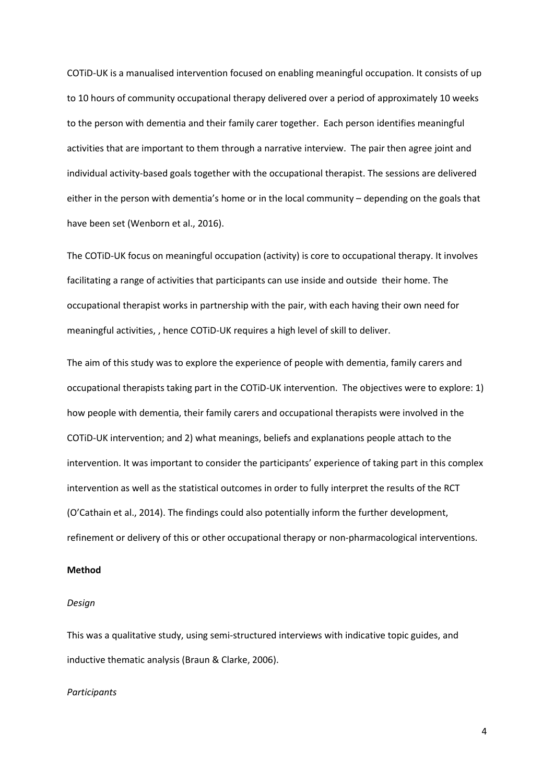COTiD-UK is a manualised intervention focused on enabling meaningful occupation. It consists of up to 10 hours of community occupational therapy delivered over a period of approximately 10 weeks to the person with dementia and their family carer together. Each person identifies meaningful activities that are important to them through a narrative interview. The pair then agree joint and individual activity-based goals together with the occupational therapist. The sessions are delivered either in the person with dementia's home or in the local community – depending on the goals that have been set (Wenborn et al., 2016).

The COTiD-UK focus on meaningful occupation (activity) is core to occupational therapy. It involves facilitating a range of activities that participants can use inside and outside their home. The occupational therapist works in partnership with the pair, with each having their own need for meaningful activities, , hence COTiD-UK requires a high level of skill to deliver.

The aim of this study was to explore the experience of people with dementia, family carers and occupational therapists taking part in the COTiD-UK intervention. The objectives were to explore: 1) how people with dementia, their family carers and occupational therapists were involved in the COTiD-UK intervention; and 2) what meanings, beliefs and explanations people attach to the intervention. It was important to consider the participants' experience of taking part in this complex intervention as well as the statistical outcomes in order to fully interpret the results of the RCT (O'Cathain et al., 2014). The findings could also potentially inform the further development, refinement or delivery of this or other occupational therapy or non-pharmacological interventions.

## **Method**

#### *Design*

This was a qualitative study, using semi-structured interviews with indicative topic guides, and inductive thematic analysis (Braun & Clarke, 2006).

### *Participants*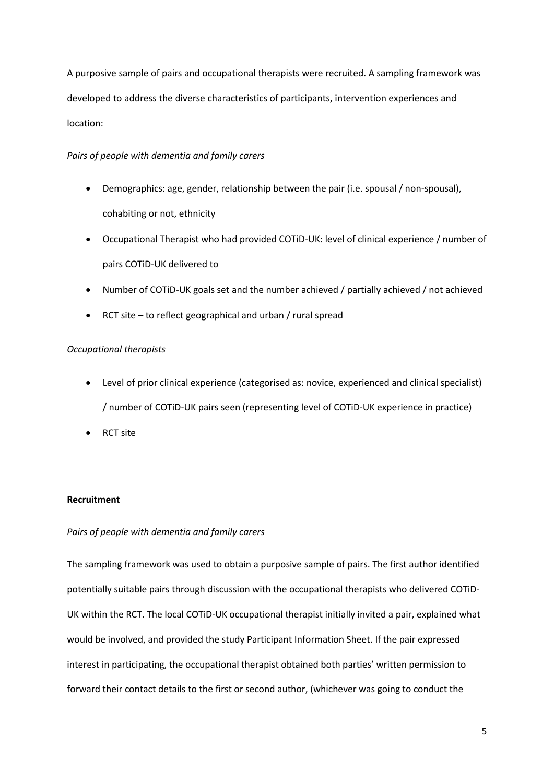A purposive sample of pairs and occupational therapists were recruited. A sampling framework was developed to address the diverse characteristics of participants, intervention experiences and location:

# *Pairs of people with dementia and family carers*

- Demographics: age, gender, relationship between the pair (i.e. spousal / non-spousal), cohabiting or not, ethnicity
- Occupational Therapist who had provided COTiD-UK: level of clinical experience / number of pairs COTiD-UK delivered to
- Number of COTiD-UK goals set and the number achieved / partially achieved / not achieved
- RCT site to reflect geographical and urban  $/$  rural spread

# *Occupational therapists*

- Level of prior clinical experience (categorised as: novice, experienced and clinical specialist) / number of COTiD-UK pairs seen (representing level of COTiD-UK experience in practice)
- RCT site

# **Recruitment**

# *Pairs of people with dementia and family carers*

The sampling framework was used to obtain a purposive sample of pairs. The first author identified potentially suitable pairs through discussion with the occupational therapists who delivered COTiD-UK within the RCT. The local COTiD-UK occupational therapist initially invited a pair, explained what would be involved, and provided the study Participant Information Sheet. If the pair expressed interest in participating, the occupational therapist obtained both parties' written permission to forward their contact details to the first or second author, (whichever was going to conduct the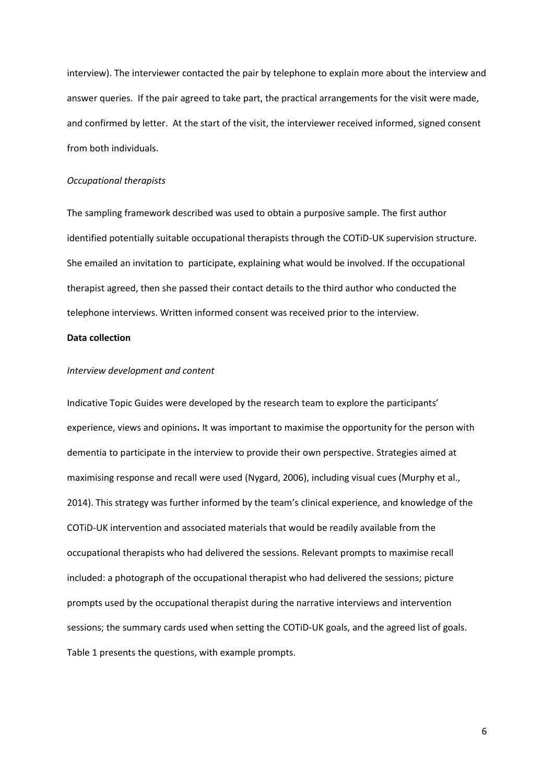interview). The interviewer contacted the pair by telephone to explain more about the interview and answer queries. If the pair agreed to take part, the practical arrangements for the visit were made, and confirmed by letter. At the start of the visit, the interviewer received informed, signed consent from both individuals.

## *Occupational therapists*

The sampling framework described was used to obtain a purposive sample. The first author identified potentially suitable occupational therapists through the COTiD-UK supervision structure. She emailed an invitation to participate, explaining what would be involved. If the occupational therapist agreed, then she passed their contact details to the third author who conducted the telephone interviews. Written informed consent was received prior to the interview.

## **Data collection**

## *Interview development and content*

Indicative Topic Guides were developed by the research team to explore the participants' experience, views and opinions**.** It was important to maximise the opportunity for the person with dementia to participate in the interview to provide their own perspective. Strategies aimed at maximising response and recall were used (Nygard, 2006), including visual cues (Murphy et al., 2014). This strategy was further informed by the team's clinical experience, and knowledge of the COTiD-UK intervention and associated materials that would be readily available from the occupational therapists who had delivered the sessions. Relevant prompts to maximise recall included: a photograph of the occupational therapist who had delivered the sessions; picture prompts used by the occupational therapist during the narrative interviews and intervention sessions; the summary cards used when setting the COTiD-UK goals, and the agreed list of goals. Table 1 presents the questions, with example prompts.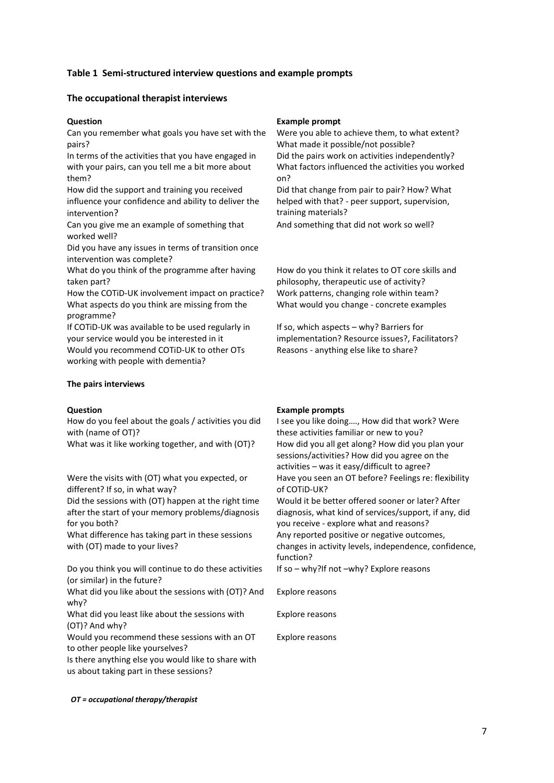# **Table 1 Semi-structured interview questions and example prompts**

## **The occupational therapist interviews**

Can you remember what goals you have set with the pairs?

In terms of the activities that you have engaged in with your pairs, can you tell me a bit more about them?

How did the support and training you received influence your confidence and ability to deliver the intervention?

Can you give me an example of something that worked well?

Did you have any issues in terms of transition once intervention was complete?

What do you think of the programme after having taken part?

How the COTiD-UK involvement impact on practice? Work patterns, changing role within team? What aspects do you think are missing from the programme?

If COTiD-UK was available to be used regularly in your service would you be interested in it Would you recommend COTiD-UK to other OTs working with people with dementia?

### **The pairs interviews**

How do you feel about the goals / activities you did with (name of OT)?

Were the visits with (OT) what you expected, or different? If so, in what way?

Did the sessions with (OT) happen at the right time after the start of your memory problems/diagnosis for you both?

What difference has taking part in these sessions with (OT) made to your lives?

Do you think you will continue to do these activities (or similar) in the future?

What did you like about the sessions with (OT)? And why?

What did you least like about the sessions with (OT)? And why?

Would you recommend these sessions with an OT to other people like yourselves?

Is there anything else you would like to share with us about taking part in these sessions?

#### **Question Example prompt**

Were you able to achieve them, to what extent? What made it possible/not possible? Did the pairs work on activities independently? What factors influenced the activities you worked on? Did that change from pair to pair? How? What

helped with that? - peer support, supervision, training materials?

And something that did not work so well?

How do you think it relates to OT core skills and philosophy, therapeutic use of activity? What would you change - concrete examples

If so, which aspects – why? Barriers for implementation? Resource issues?, Facilitators? Reasons - anything else like to share?

#### **Question Example prompts**

I see you like doing…., How did that work? Were these activities familiar or new to you? What was it like working together, and with (OT)? How did you all get along? How did you plan your sessions/activities? How did you agree on the activities – was it easy/difficult to agree? Have you seen an OT before? Feelings re: flexibility of COTiD-UK?

Would it be better offered sooner or later? After diagnosis, what kind of services/support, if any, did you receive - explore what and reasons? Any reported positive or negative outcomes, changes in activity levels, independence, confidence, function?

If so – why?If not –why? Explore reasons

Explore reasons

Explore reasons

Explore reasons

#### *OT = occupational therapy/therapist*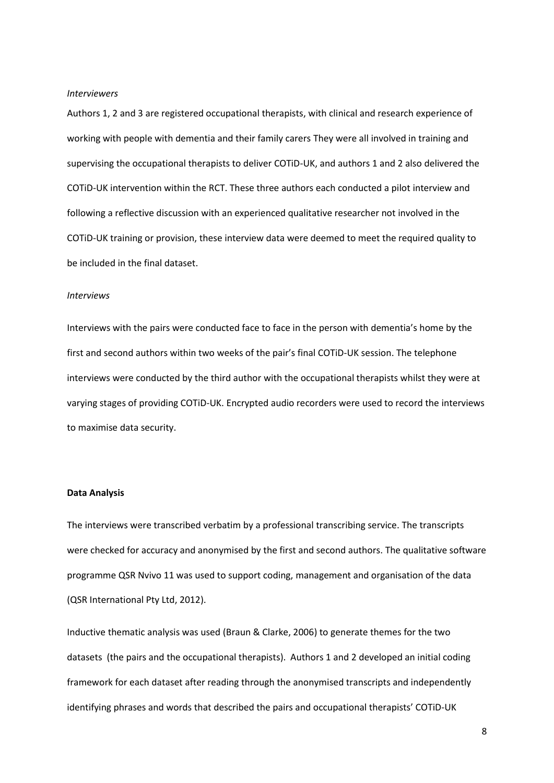#### *Interviewers*

Authors 1, 2 and 3 are registered occupational therapists, with clinical and research experience of working with people with dementia and their family carers They were all involved in training and supervising the occupational therapists to deliver COTiD-UK, and authors 1 and 2 also delivered the COTiD-UK intervention within the RCT. These three authors each conducted a pilot interview and following a reflective discussion with an experienced qualitative researcher not involved in the COTiD-UK training or provision, these interview data were deemed to meet the required quality to be included in the final dataset.

## *Interviews*

Interviews with the pairs were conducted face to face in the person with dementia's home by the first and second authors within two weeks of the pair's final COTiD-UK session. The telephone interviews were conducted by the third author with the occupational therapists whilst they were at varying stages of providing COTiD-UK. Encrypted audio recorders were used to record the interviews to maximise data security.

## **Data Analysis**

The interviews were transcribed verbatim by a professional transcribing service. The transcripts were checked for accuracy and anonymised by the first and second authors. The qualitative software programme QSR Nvivo 11 was used to support coding, management and organisation of the data (QSR International Pty Ltd, 2012).

Inductive thematic analysis was used (Braun & Clarke, 2006) to generate themes for the two datasets (the pairs and the occupational therapists). Authors 1 and 2 developed an initial coding framework for each dataset after reading through the anonymised transcripts and independently identifying phrases and words that described the pairs and occupational therapists' COTiD-UK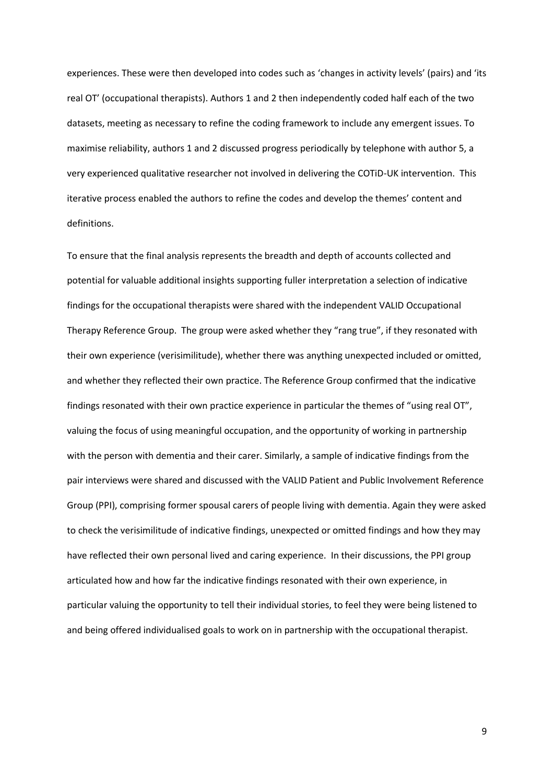experiences. These were then developed into codes such as 'changes in activity levels' (pairs) and 'its real OT' (occupational therapists). Authors 1 and 2 then independently coded half each of the two datasets, meeting as necessary to refine the coding framework to include any emergent issues. To maximise reliability, authors 1 and 2 discussed progress periodically by telephone with author 5, a very experienced qualitative researcher not involved in delivering the COTiD-UK intervention. This iterative process enabled the authors to refine the codes and develop the themes' content and definitions.

To ensure that the final analysis represents the breadth and depth of accounts collected and potential for valuable additional insights supporting fuller interpretation a selection of indicative findings for the occupational therapists were shared with the independent VALID Occupational Therapy Reference Group. The group were asked whether they "rang true", if they resonated with their own experience (verisimilitude), whether there was anything unexpected included or omitted, and whether they reflected their own practice. The Reference Group confirmed that the indicative findings resonated with their own practice experience in particular the themes of "using real OT", valuing the focus of using meaningful occupation, and the opportunity of working in partnership with the person with dementia and their carer. Similarly, a sample of indicative findings from the pair interviews were shared and discussed with the VALID Patient and Public Involvement Reference Group (PPI), comprising former spousal carers of people living with dementia. Again they were asked to check the verisimilitude of indicative findings, unexpected or omitted findings and how they may have reflected their own personal lived and caring experience. In their discussions, the PPI group articulated how and how far the indicative findings resonated with their own experience, in particular valuing the opportunity to tell their individual stories, to feel they were being listened to and being offered individualised goals to work on in partnership with the occupational therapist.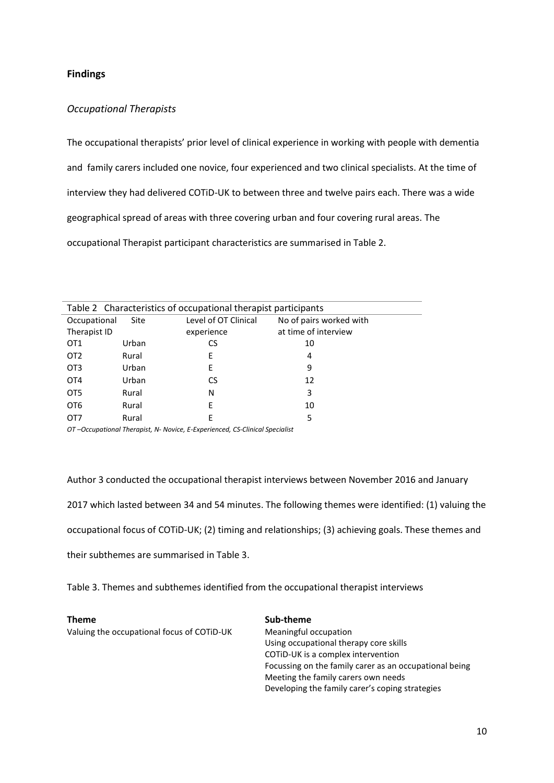# **Findings**

# *Occupational Therapists*

The occupational therapists' prior level of clinical experience in working with people with dementia and family carers included one novice, four experienced and two clinical specialists. At the time of interview they had delivered COTiD-UK to between three and twelve pairs each. There was a wide geographical spread of areas with three covering urban and four covering rural areas. The occupational Therapist participant characteristics are summarised in Table 2.

| Table 2 Characteristics of occupational therapist participants |       |                      |                         |  |  |  |  |
|----------------------------------------------------------------|-------|----------------------|-------------------------|--|--|--|--|
| Occupational                                                   | Site  | Level of OT Clinical | No of pairs worked with |  |  |  |  |
| Therapist ID                                                   |       | experience           | at time of interview    |  |  |  |  |
| OT <sub>1</sub>                                                | Urban | CS                   | 10                      |  |  |  |  |
| OT <sub>2</sub>                                                | Rural | Е                    | 4                       |  |  |  |  |
| OT <sub>3</sub>                                                | Urban | F                    | 9                       |  |  |  |  |
| OT <sub>4</sub>                                                | Urban | CS                   | 12                      |  |  |  |  |
| OT <sub>5</sub>                                                | Rural | Ν                    | 3                       |  |  |  |  |
| OT <sub>6</sub>                                                | Rural | E                    | 10                      |  |  |  |  |
| OT7                                                            | Rural | F                    | 5                       |  |  |  |  |

*OT –Occupational Therapist, N- Novice, E-Experienced, CS-Clinical Specialist*

Author 3 conducted the occupational therapist interviews between November 2016 and January

2017 which lasted between 34 and 54 minutes. The following themes were identified: (1) valuing the

occupational focus of COTiD-UK; (2) timing and relationships; (3) achieving goals. These themes and

their subthemes are summarised in Table 3.

Table 3. Themes and subthemes identified from the occupational therapist interviews

Valuing the occupational focus of COTiD-UK Meaningful occupation

**Theme Sub-theme** Using occupational therapy core skills COTiD-UK is a complex intervention Focussing on the family carer as an occupational being Meeting the family carers own needs Developing the family carer's coping strategies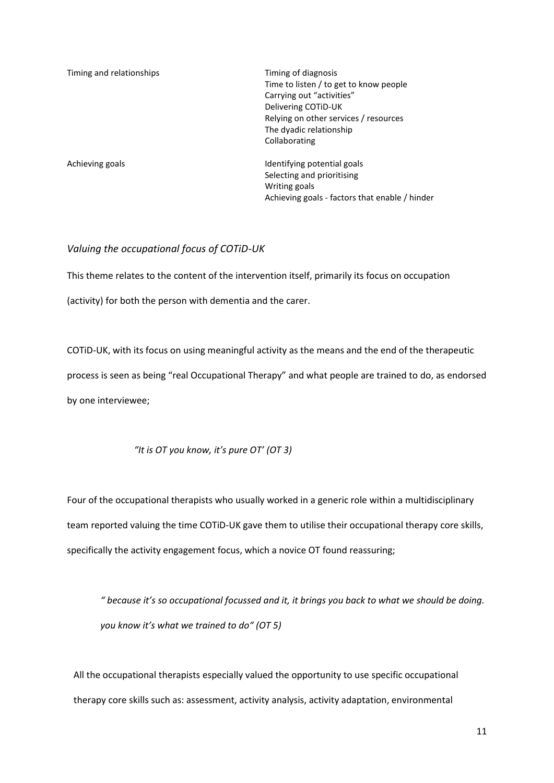| Timing and relationships | Timing of diagnosis<br>Time to listen / to get to know people<br>Carrying out "activities"<br>Delivering COTID-UK<br>Relying on other services / resources<br>The dyadic relationship<br>Collaborating |
|--------------------------|--------------------------------------------------------------------------------------------------------------------------------------------------------------------------------------------------------|
| Achieving goals          | Identifying potential goals<br>Selecting and prioritising<br>Writing goals<br>Achieving goals - factors that enable / hinder                                                                           |

# *Valuing the occupational focus of COTiD-UK*

This theme relates to the content of the intervention itself, primarily its focus on occupation

(activity) for both the person with dementia and the carer.

COTiD-UK, with its focus on using meaningful activity as the means and the end of the therapeutic process is seen as being "real Occupational Therapy" and what people are trained to do, as endorsed by one interviewee;

# *"It is OT you know, it's pure OT' (OT 3)*

Four of the occupational therapists who usually worked in a generic role within a multidisciplinary team reported valuing the time COTiD-UK gave them to utilise their occupational therapy core skills, specifically the activity engagement focus, which a novice OT found reassuring;

*" because it's so occupational focussed and it, it brings you back to what we should be doing. you know it's what we trained to do" (OT 5)*

All the occupational therapists especially valued the opportunity to use specific occupational therapy core skills such as: assessment, activity analysis, activity adaptation, environmental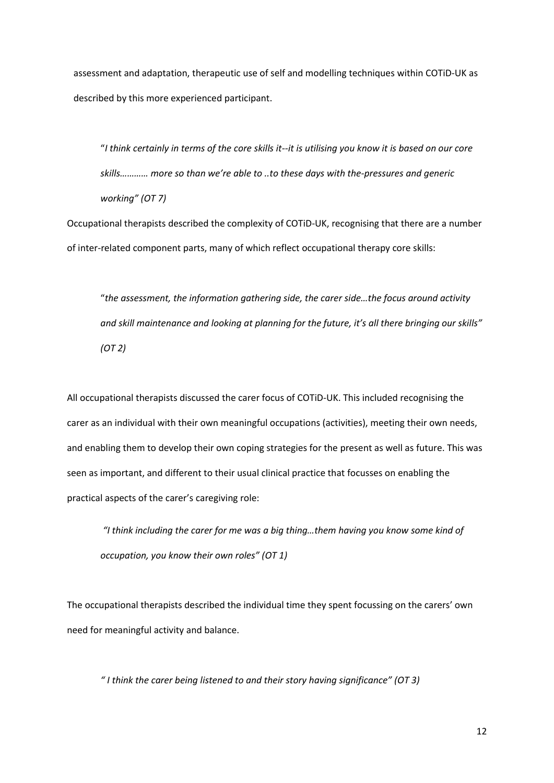assessment and adaptation, therapeutic use of self and modelling techniques within COTiD-UK as described by this more experienced participant.

"*I think certainly in terms of the core skills it--it is utilising you know it is based on our core skills………… more so than we're able to ..to these days with the-pressures and generic working" (OT 7)*

Occupational therapists described the complexity of COTiD-UK, recognising that there are a number of inter-related component parts, many of which reflect occupational therapy core skills:

"*the assessment, the information gathering side, the carer side…the focus around activity and skill maintenance and looking at planning for the future, it's all there bringing our skills" (OT 2)*

All occupational therapists discussed the carer focus of COTiD-UK. This included recognising the carer as an individual with their own meaningful occupations (activities), meeting their own needs, and enabling them to develop their own coping strategies for the present as well as future. This was seen as important, and different to their usual clinical practice that focusses on enabling the practical aspects of the carer's caregiving role:

*"I think including the carer for me was a big thing…them having you know some kind of occupation, you know their own roles" (OT 1)*

The occupational therapists described the individual time they spent focussing on the carers' own need for meaningful activity and balance.

*" I think the carer being listened to and their story having significance" (OT 3)*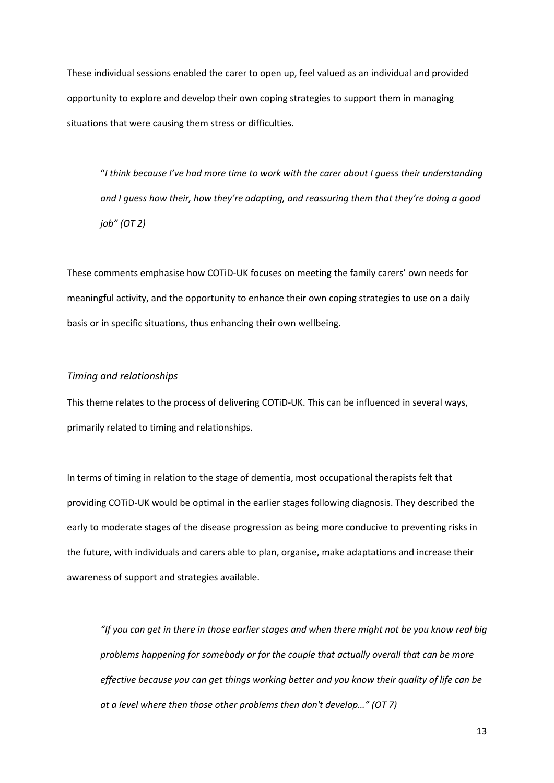These individual sessions enabled the carer to open up, feel valued as an individual and provided opportunity to explore and develop their own coping strategies to support them in managing situations that were causing them stress or difficulties.

"*I think because I've had more time to work with the carer about I guess their understanding and I guess how their, how they're adapting, and reassuring them that they're doing a good job" (OT 2)*

These comments emphasise how COTiD-UK focuses on meeting the family carers' own needs for meaningful activity, and the opportunity to enhance their own coping strategies to use on a daily basis or in specific situations, thus enhancing their own wellbeing.

## *Timing and relationships*

This theme relates to the process of delivering COTiD-UK. This can be influenced in several ways, primarily related to timing and relationships.

In terms of timing in relation to the stage of dementia, most occupational therapists felt that providing COTiD-UK would be optimal in the earlier stages following diagnosis. They described the early to moderate stages of the disease progression as being more conducive to preventing risks in the future, with individuals and carers able to plan, organise, make adaptations and increase their awareness of support and strategies available.

*"If you can get in there in those earlier stages and when there might not be you know real big problems happening for somebody or for the couple that actually overall that can be more effective because you can get things working better and you know their quality of life can be at a level where then those other problems then don't develop…" (OT 7)*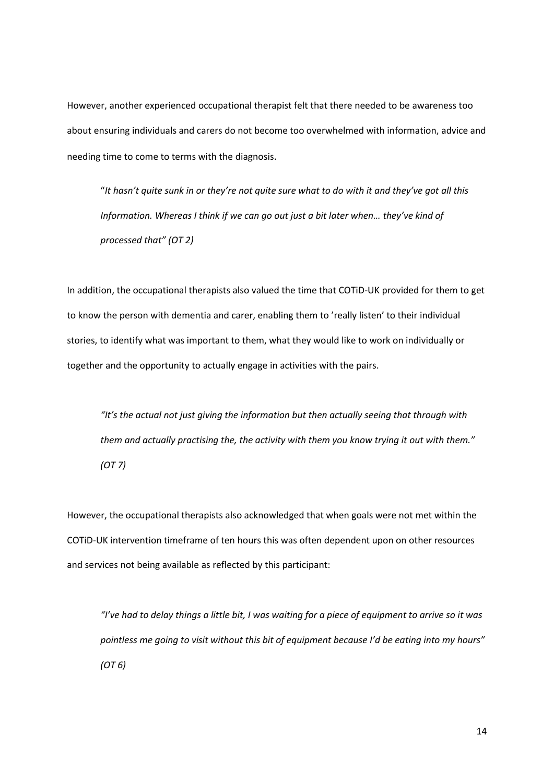However, another experienced occupational therapist felt that there needed to be awareness too about ensuring individuals and carers do not become too overwhelmed with information, advice and needing time to come to terms with the diagnosis.

"*It hasn't quite sunk in or they're not quite sure what to do with it and they've got all this Information. Whereas I think if we can go out just a bit later when… they've kind of processed that" (OT 2)*

In addition, the occupational therapists also valued the time that COTiD-UK provided for them to get to know the person with dementia and carer, enabling them to 'really listen' to their individual stories, to identify what was important to them, what they would like to work on individually or together and the opportunity to actually engage in activities with the pairs.

*"It's the actual not just giving the information but then actually seeing that through with them and actually practising the, the activity with them you know trying it out with them." (OT 7)*

However, the occupational therapists also acknowledged that when goals were not met within the COTiD-UK intervention timeframe of ten hours this was often dependent upon on other resources and services not being available as reflected by this participant:

*"I've had to delay things a little bit, I was waiting for a piece of equipment to arrive so it was pointless me going to visit without this bit of equipment because I'd be eating into my hours" (OT 6)*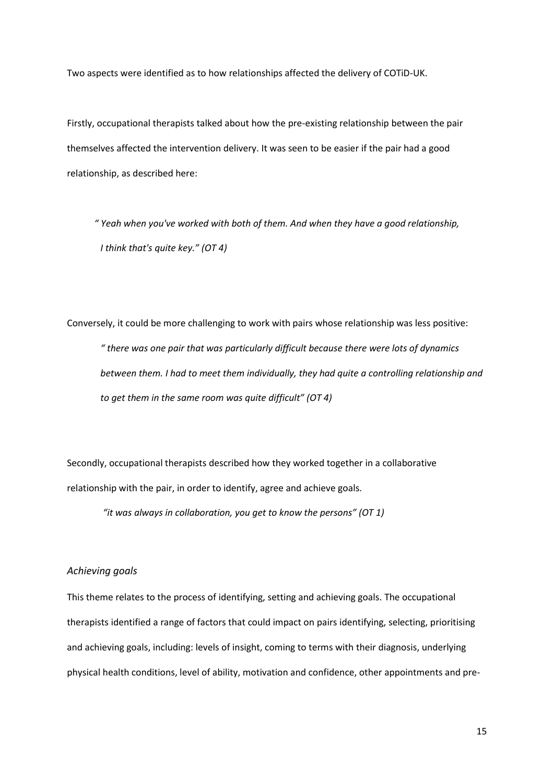Two aspects were identified as to how relationships affected the delivery of COTiD-UK.

Firstly, occupational therapists talked about how the pre-existing relationship between the pair themselves affected the intervention delivery. It was seen to be easier if the pair had a good relationship, as described here:

*" Yeah when you've worked with both of them. And when they have a good relationship, I think that's quite key." (OT 4)* 

Conversely, it could be more challenging to work with pairs whose relationship was less positive: *" there was one pair that was particularly difficult because there were lots of dynamics between them. I had to meet them individually, they had quite a controlling relationship and to get them in the same room was quite difficult" (OT 4)*

Secondly, occupational therapists described how they worked together in a collaborative relationship with the pair, in order to identify, agree and achieve goals.

*"it was always in collaboration, you get to know the persons" (OT 1)*

# *Achieving goals*

This theme relates to the process of identifying, setting and achieving goals. The occupational therapists identified a range of factors that could impact on pairs identifying, selecting, prioritising and achieving goals, including: levels of insight, coming to terms with their diagnosis, underlying physical health conditions, level of ability, motivation and confidence, other appointments and pre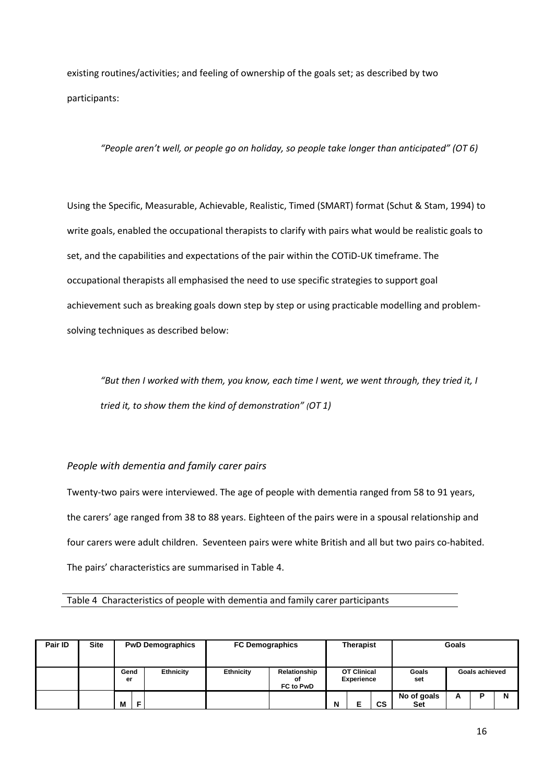existing routines/activities; and feeling of ownership of the goals set; as described by two participants:

*"People aren't well, or people go on holiday, so people take longer than anticipated" (OT 6)*

Using the Specific, Measurable, Achievable, Realistic, Timed (SMART) format (Schut & Stam, 1994) to write goals, enabled the occupational therapists to clarify with pairs what would be realistic goals to set, and the capabilities and expectations of the pair within the COTiD-UK timeframe. The occupational therapists all emphasised the need to use specific strategies to support goal achievement such as breaking goals down step by step or using practicable modelling and problemsolving techniques as described below:

*"But then I worked with them, you know, each time I went, we went through, they tried it, I tried it, to show them the kind of demonstration" (OT 1)*

# *People with dementia and family carer pairs*

Twenty-two pairs were interviewed. The age of people with dementia ranged from 58 to 91 years, the carers' age ranged from 38 to 88 years. Eighteen of the pairs were in a spousal relationship and four carers were adult children. Seventeen pairs were white British and all but two pairs co-habited. The pairs' characteristics are summarised in Table 4.

Table 4 Characteristics of people with dementia and family carer participants

| Pair ID | <b>Site</b> |            |   | <b>PwD Demographics</b> | <b>FC Demographics</b> |                                 | <b>Therapist</b>                        |  |              | Goals                     |   |   |   |
|---------|-------------|------------|---|-------------------------|------------------------|---------------------------------|-----------------------------------------|--|--------------|---------------------------|---|---|---|
|         |             | Gend<br>er |   | Ethnicity               | Ethnicity              | Relationship<br>οf<br>FC to PwD | <b>OT Clinical</b><br><b>Experience</b> |  | Goals<br>set | <b>Goals achieved</b>     |   |   |   |
|         |             | M          | F |                         |                        |                                 | N                                       |  | <b>CS</b>    | No of goals<br><b>Set</b> | А | R | N |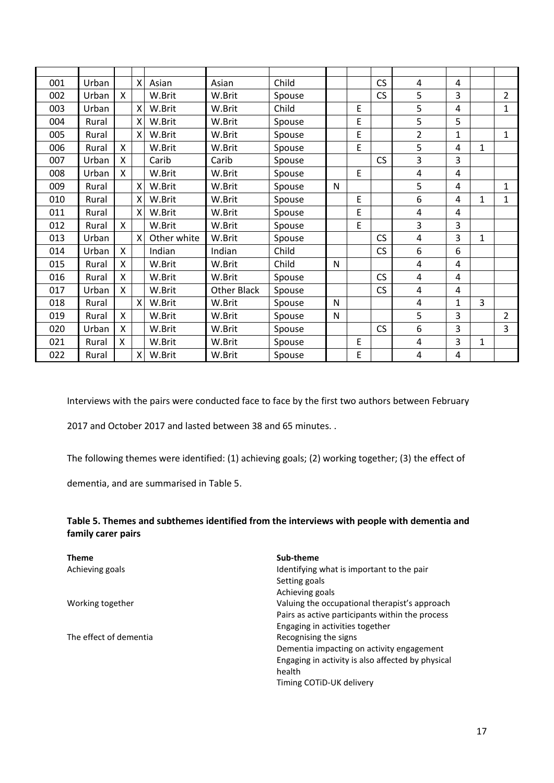| 001 | Urban |              | $\times$                  | Asian       | Asian              | Child  |              |   | CS | 4              | 4            |              |                |
|-----|-------|--------------|---------------------------|-------------|--------------------|--------|--------------|---|----|----------------|--------------|--------------|----------------|
| 002 | Urban | X            |                           | W.Brit      | W.Brit             | Spouse |              |   | CS | 5              | 3            |              | $\overline{2}$ |
| 003 | Urban |              | $\boldsymbol{X}$          | W.Brit      | W.Brit             | Child  |              | E |    | 5              | 4            |              | $\mathbf{1}$   |
| 004 | Rural |              | $\boldsymbol{\mathsf{X}}$ | W.Brit      | W.Brit             | Spouse |              | E |    | 5              | 5            |              |                |
| 005 | Rural |              | $\times$                  | W.Brit      | W.Brit             | Spouse |              | E |    | $\overline{2}$ | $\mathbf{1}$ |              | $\mathbf{1}$   |
| 006 | Rural | X            |                           | W.Brit      | W.Brit             | Spouse |              | E |    | 5              | 4            | $\mathbf{1}$ |                |
| 007 | Urban | $\mathsf{X}$ |                           | Carib       | Carib              | Spouse |              |   | CS | 3              | 3            |              |                |
| 008 | Urban | X            |                           | W.Brit      | W.Brit             | Spouse |              | E |    | 4              | 4            |              |                |
| 009 | Rural |              | $\boldsymbol{\mathsf{X}}$ | W.Brit      | W.Brit             | Spouse | N            |   |    | 5              | 4            |              | 1              |
| 010 | Rural |              | X                         | W.Brit      | W.Brit             | Spouse |              | E |    | 6              | 4            | 1            | 1              |
| 011 | Rural |              | $\mathsf{X}$              | W.Brit      | W.Brit             | Spouse |              | E |    | 4              | 4            |              |                |
| 012 | Rural | $\mathsf{x}$ |                           | W.Brit      | W.Brit             | Spouse |              | E |    | 3              | 3            |              |                |
| 013 | Urban |              | $\boldsymbol{\mathsf{X}}$ | Other white | W.Brit             | Spouse |              |   | CS | $\overline{4}$ | 3            | 1            |                |
| 014 | Urban | X            |                           | Indian      | Indian             | Child  |              |   | CS | 6              | 6            |              |                |
| 015 | Rural | X            |                           | W.Brit      | W.Brit             | Child  | N            |   |    | 4              | 4            |              |                |
| 016 | Rural | X            |                           | W.Brit      | W.Brit             | Spouse |              |   | CS | 4              | 4            |              |                |
| 017 | Urban | X            |                           | W.Brit      | <b>Other Black</b> | Spouse |              |   | CS | 4              | 4            |              |                |
| 018 | Rural |              | $\times$                  | W.Brit      | W.Brit             | Spouse | N            |   |    | 4              | 1            | 3            |                |
| 019 | Rural | $\mathsf{x}$ |                           | W.Brit      | W.Brit             | Spouse | $\mathsf{N}$ |   |    | 5              | 3            |              | $\overline{2}$ |
| 020 | Urban | X            |                           | W.Brit      | W.Brit             | Spouse |              |   | CS | 6              | 3            |              | 3              |
| 021 | Rural | X            |                           | W.Brit      | W.Brit             | Spouse |              | E |    | 4              | 3            | 1            |                |
| 022 | Rural |              | $\mathsf{X}$              | W.Brit      | W.Brit             | Spouse |              | E |    | 4              | 4            |              |                |

Interviews with the pairs were conducted face to face by the first two authors between February

2017 and October 2017 and lasted between 38 and 65 minutes. .

The following themes were identified: (1) achieving goals; (2) working together; (3) the effect of

dementia, and are summarised in Table 5.

# **Table 5. Themes and subthemes identified from the interviews with people with dementia and family carer pairs**

| <b>Theme</b>           | Sub-theme                                         |
|------------------------|---------------------------------------------------|
| Achieving goals        | Identifying what is important to the pair         |
|                        | Setting goals                                     |
|                        | Achieving goals                                   |
| Working together       | Valuing the occupational therapist's approach     |
|                        | Pairs as active participants within the process   |
|                        | Engaging in activities together                   |
| The effect of dementia | Recognising the signs                             |
|                        | Dementia impacting on activity engagement         |
|                        | Engaging in activity is also affected by physical |
|                        | health                                            |
|                        | Timing COTID-UK delivery                          |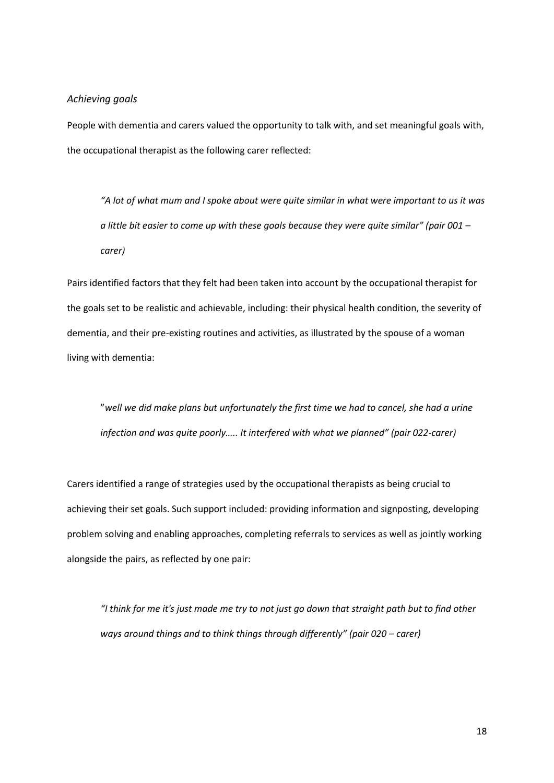## *Achieving goals*

People with dementia and carers valued the opportunity to talk with, and set meaningful goals with, the occupational therapist as the following carer reflected:

*"A lot of what mum and I spoke about were quite similar in what were important to us it was a little bit easier to come up with these goals because they were quite similar" (pair 001 – carer)*

Pairs identified factors that they felt had been taken into account by the occupational therapist for the goals set to be realistic and achievable, including: their physical health condition, the severity of dementia, and their pre-existing routines and activities, as illustrated by the spouse of a woman living with dementia:

"*well we did make plans but unfortunately the first time we had to cancel, she had a urine infection and was quite poorly….. It interfered with what we planned" (pair 022-carer)*

Carers identified a range of strategies used by the occupational therapists as being crucial to achieving their set goals. Such support included: providing information and signposting, developing problem solving and enabling approaches, completing referrals to services as well as jointly working alongside the pairs, as reflected by one pair:

*"I think for me it's just made me try to not just go down that straight path but to find other ways around things and to think things through differently" (pair 020 – carer)*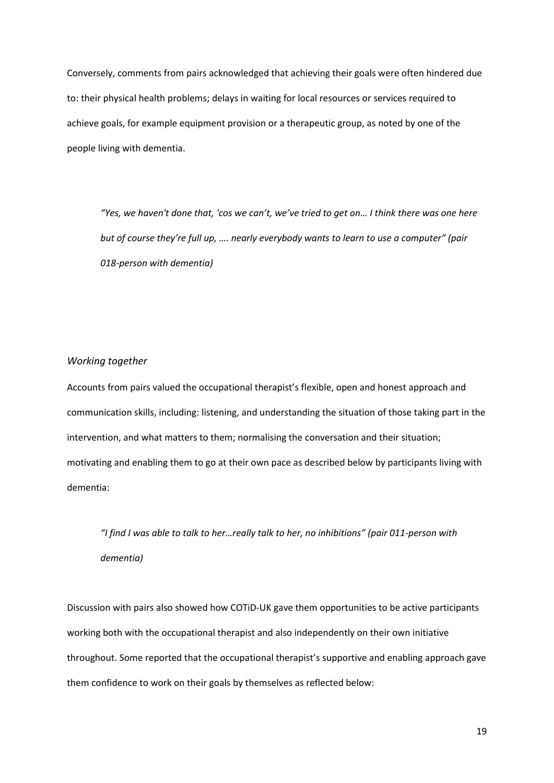Conversely, comments from pairs acknowledged that achieving their goals were often hindered due to: their physical health problems; delays in waiting for local resources or services required to achieve goals, for example equipment provision or a therapeutic group, as noted by one of the people living with dementia.

*"Yes, we haven't done that, 'cos we can't, we've tried to get on… I think there was one here but of course they're full up, …. nearly everybody wants to learn to use a computer" (pair 018-person with dementia)*

# *Working together*

Accounts from pairs valued the occupational therapist's flexible, open and honest approach and communication skills, including: listening, and understanding the situation of those taking part in the intervention, and what matters to them; normalising the conversation and their situation; motivating and enabling them to go at their own pace as described below by participants living with dementia:

*"I find I was able to talk to her…really talk to her, no inhibitions" (pair 011-person with dementia)*

Discussion with pairs also showed how COTiD-UK gave them opportunities to be active participants working both with the occupational therapist and also independently on their own initiative throughout. Some reported that the occupational therapist's supportive and enabling approach gave them confidence to work on their goals by themselves as reflected below: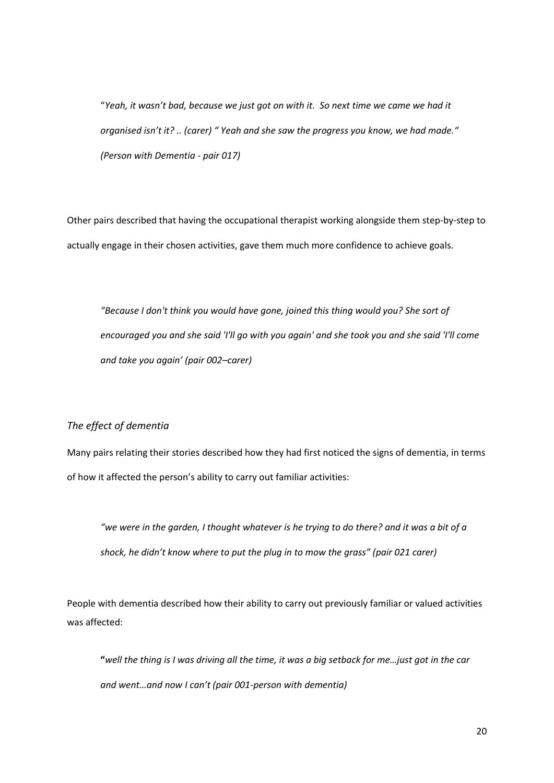"*Yeah, it wasn't bad, because we just got on with it. So next time we came we had it organised isn't it? .. (carer) " Yeah and she saw the progress you know, we had made." (Person with Dementia - pair 017)*

Other pairs described that having the occupational therapist working alongside them step-by-step to actually engage in their chosen activities, gave them much more confidence to achieve goals.

*"Because I don't think you would have gone, joined this thing would you? She sort of encouraged you and she said 'I'll go with you again' and she took you and she said 'I'll come and take you again' (pair 002–carer)*

# *The effect of dementia*

Many pairs relating their stories described how they had first noticed the signs of dementia, in terms of how it affected the person's ability to carry out familiar activities:

*"we were in the garden, I thought whatever is he trying to do there? and it was a bit of a shock, he didn't know where to put the plug in to mow the grass" (pair 021 carer)*

People with dementia described how their ability to carry out previously familiar or valued activities was affected:

**"***well the thing is I was driving all the time, it was a big setback for me…just got in the car and went…and now I can't (pair 001-person with dementia)*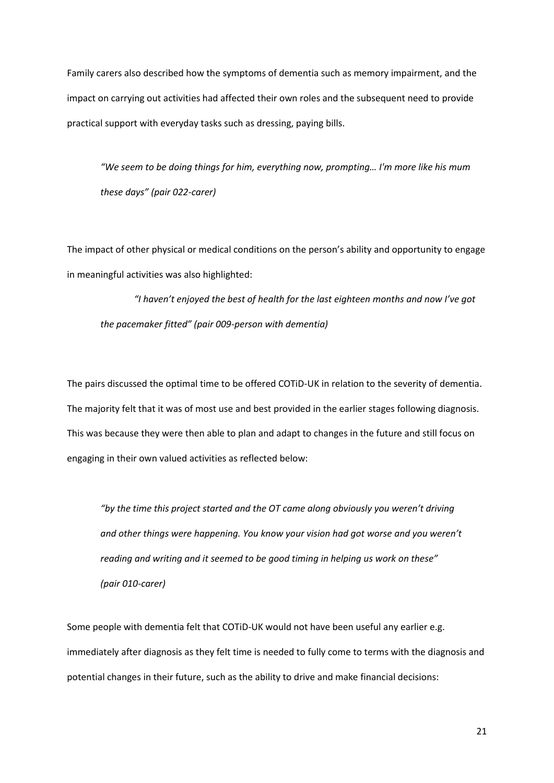Family carers also described how the symptoms of dementia such as memory impairment, and the impact on carrying out activities had affected their own roles and the subsequent need to provide practical support with everyday tasks such as dressing, paying bills.

*"We seem to be doing things for him, everything now, prompting… I'm more like his mum these days" (pair 022-carer)*

The impact of other physical or medical conditions on the person's ability and opportunity to engage in meaningful activities was also highlighted:

*"I haven't enjoyed the best of health for the last eighteen months and now I've got the pacemaker fitted" (pair 009-person with dementia)*

The pairs discussed the optimal time to be offered COTiD-UK in relation to the severity of dementia. The majority felt that it was of most use and best provided in the earlier stages following diagnosis. This was because they were then able to plan and adapt to changes in the future and still focus on engaging in their own valued activities as reflected below:

*"by the time this project started and the OT came along obviously you weren't driving and other things were happening. You know your vision had got worse and you weren't reading and writing and it seemed to be good timing in helping us work on these" (pair 010-carer)*

Some people with dementia felt that COTiD-UK would not have been useful any earlier e.g. immediately after diagnosis as they felt time is needed to fully come to terms with the diagnosis and potential changes in their future, such as the ability to drive and make financial decisions: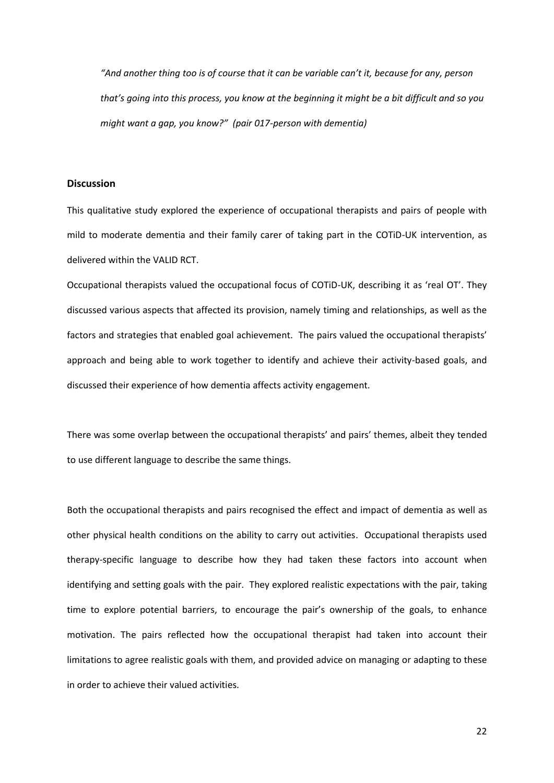*"And another thing too is of course that it can be variable can't it, because for any, person that's going into this process, you know at the beginning it might be a bit difficult and so you might want a gap, you know?" (pair 017-person with dementia)*

# **Discussion**

This qualitative study explored the experience of occupational therapists and pairs of people with mild to moderate dementia and their family carer of taking part in the COTiD-UK intervention, as delivered within the VALID RCT.

Occupational therapists valued the occupational focus of COTiD-UK, describing it as 'real OT'. They discussed various aspects that affected its provision, namely timing and relationships, as well as the factors and strategies that enabled goal achievement. The pairs valued the occupational therapists' approach and being able to work together to identify and achieve their activity-based goals, and discussed their experience of how dementia affects activity engagement.

There was some overlap between the occupational therapists' and pairs' themes, albeit they tended to use different language to describe the same things.

Both the occupational therapists and pairs recognised the effect and impact of dementia as well as other physical health conditions on the ability to carry out activities. Occupational therapists used therapy-specific language to describe how they had taken these factors into account when identifying and setting goals with the pair. They explored realistic expectations with the pair, taking time to explore potential barriers, to encourage the pair's ownership of the goals, to enhance motivation. The pairs reflected how the occupational therapist had taken into account their limitations to agree realistic goals with them, and provided advice on managing or adapting to these in order to achieve their valued activities.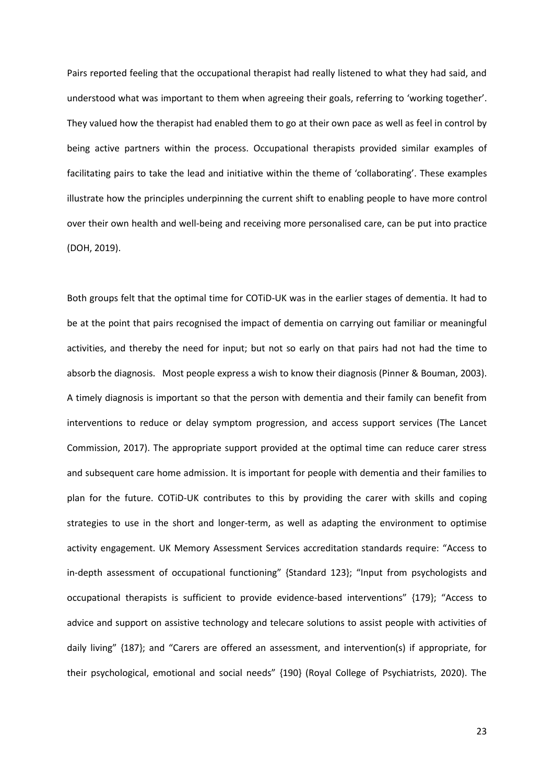Pairs reported feeling that the occupational therapist had really listened to what they had said, and understood what was important to them when agreeing their goals, referring to 'working together'. They valued how the therapist had enabled them to go at their own pace as well as feel in control by being active partners within the process. Occupational therapists provided similar examples of facilitating pairs to take the lead and initiative within the theme of 'collaborating'. These examples illustrate how the principles underpinning the current shift to enabling people to have more control over their own health and well-being and receiving more personalised care, can be put into practice (DOH, 2019).

Both groups felt that the optimal time for COTiD-UK was in the earlier stages of dementia. It had to be at the point that pairs recognised the impact of dementia on carrying out familiar or meaningful activities, and thereby the need for input; but not so early on that pairs had not had the time to absorb the diagnosis. Most people express a wish to know their diagnosis (Pinner & Bouman, 2003). A timely diagnosis is important so that the person with dementia and their family can benefit from interventions to reduce or delay symptom progression, and access support services (The Lancet Commission, 2017). The appropriate support provided at the optimal time can reduce carer stress and subsequent care home admission. It is important for people with dementia and their families to plan for the future. COTiD-UK contributes to this by providing the carer with skills and coping strategies to use in the short and longer-term, as well as adapting the environment to optimise activity engagement. UK Memory Assessment Services accreditation standards require: "Access to in-depth assessment of occupational functioning" {Standard 123}; "Input from psychologists and occupational therapists is sufficient to provide evidence-based interventions" {179}; "Access to advice and support on assistive technology and telecare solutions to assist people with activities of daily living" {187}; and "Carers are offered an assessment, and intervention(s) if appropriate, for their psychological, emotional and social needs" {190} (Royal College of Psychiatrists, 2020). The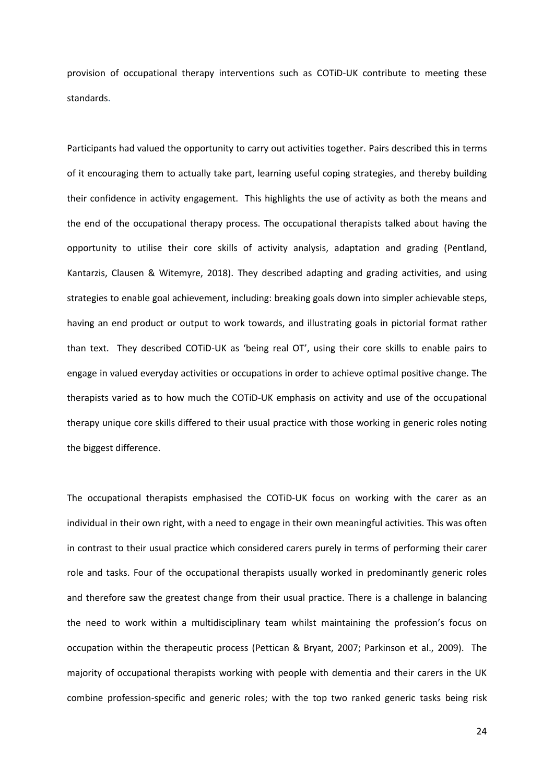provision of occupational therapy interventions such as COTiD-UK contribute to meeting these standards.

Participants had valued the opportunity to carry out activities together. Pairs described this in terms of it encouraging them to actually take part, learning useful coping strategies, and thereby building their confidence in activity engagement. This highlights the use of activity as both the means and the end of the occupational therapy process. The occupational therapists talked about having the opportunity to utilise their core skills of activity analysis, adaptation and grading (Pentland, Kantarzis, Clausen & Witemyre, 2018). They described adapting and grading activities, and using strategies to enable goal achievement, including: breaking goals down into simpler achievable steps, having an end product or output to work towards, and illustrating goals in pictorial format rather than text. They described COTiD-UK as 'being real OT', using their core skills to enable pairs to engage in valued everyday activities or occupations in order to achieve optimal positive change. The therapists varied as to how much the COTiD-UK emphasis on activity and use of the occupational therapy unique core skills differed to their usual practice with those working in generic roles noting the biggest difference.

The occupational therapists emphasised the COTiD-UK focus on working with the carer as an individual in their own right, with a need to engage in their own meaningful activities. This was often in contrast to their usual practice which considered carers purely in terms of performing their carer role and tasks. Four of the occupational therapists usually worked in predominantly generic roles and therefore saw the greatest change from their usual practice. There is a challenge in balancing the need to work within a multidisciplinary team whilst maintaining the profession's focus on occupation within the therapeutic process (Pettican & Bryant, 2007; Parkinson et al., 2009). The majority of occupational therapists working with people with dementia and their carers in the UK combine profession-specific and generic roles; with the top two ranked generic tasks being risk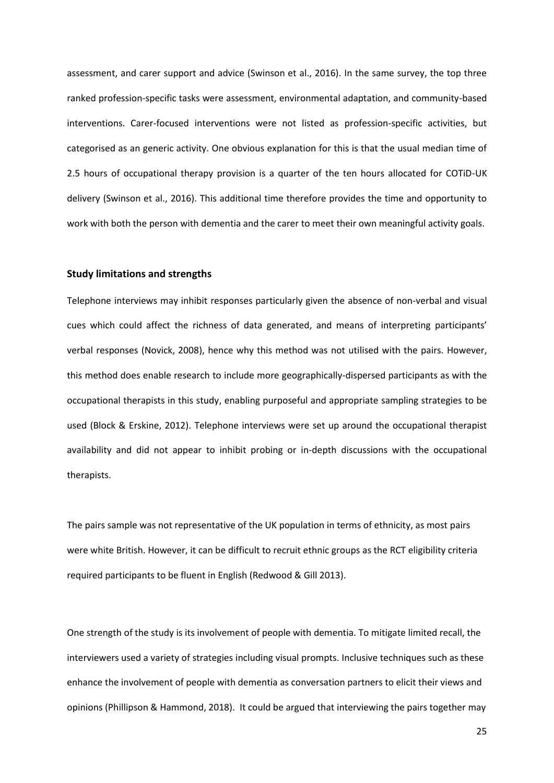assessment, and carer support and advice (Swinson et al., 2016). In the same survey, the top three ranked profession-specific tasks were assessment, environmental adaptation, and community-based interventions. Carer-focused interventions were not listed as profession-specific activities, but categorised as an generic activity. One obvious explanation for this is that the usual median time of 2.5 hours of occupational therapy provision is a quarter of the ten hours allocated for COTiD-UK delivery (Swinson et al., 2016). This additional time therefore provides the time and opportunity to work with both the person with dementia and the carer to meet their own meaningful activity goals.

#### **Study limitations and strengths**

Telephone interviews may inhibit responses particularly given the absence of non-verbal and visual cues which could affect the richness of data generated, and means of interpreting participants' verbal responses (Novick, 2008), hence why this method was not utilised with the pairs. However, this method does enable research to include more geographically-dispersed participants as with the occupational therapists in this study, enabling purposeful and appropriate sampling strategies to be used (Block & Erskine, 2012). Telephone interviews were set up around the occupational therapist availability and did not appear to inhibit probing or in-depth discussions with the occupational therapists.

The pairs sample was not representative of the UK population in terms of ethnicity, as most pairs were white British. However, it can be difficult to recruit ethnic groups as the RCT eligibility criteria required participants to be fluent in English (Redwood & Gill 2013).

One strength of the study is its involvement of people with dementia. To mitigate limited recall, the interviewers used a variety of strategies including visual prompts. Inclusive techniques such as these enhance the involvement of people with dementia as conversation partners to elicit their views and opinions (Phillipson & Hammond, 2018). It could be argued that interviewing the pairs together may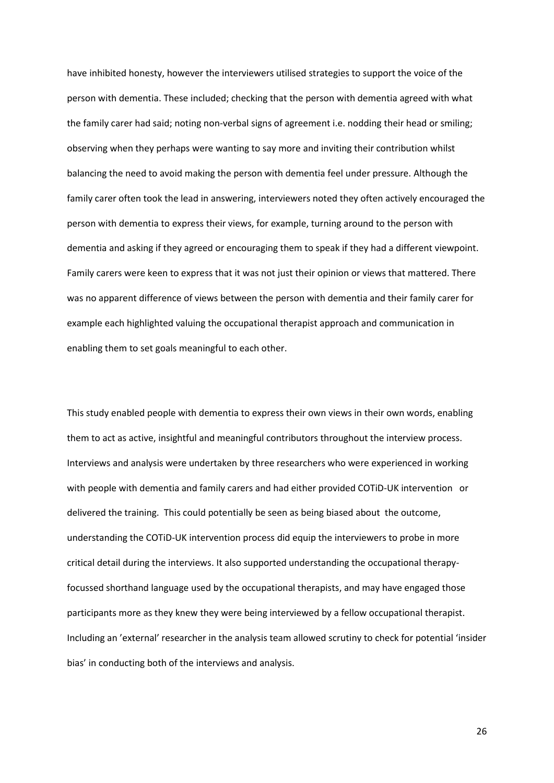have inhibited honesty, however the interviewers utilised strategies to support the voice of the person with dementia. These included; checking that the person with dementia agreed with what the family carer had said; noting non-verbal signs of agreement i.e. nodding their head or smiling; observing when they perhaps were wanting to say more and inviting their contribution whilst balancing the need to avoid making the person with dementia feel under pressure. Although the family carer often took the lead in answering, interviewers noted they often actively encouraged the person with dementia to express their views, for example, turning around to the person with dementia and asking if they agreed or encouraging them to speak if they had a different viewpoint. Family carers were keen to express that it was not just their opinion or views that mattered. There was no apparent difference of views between the person with dementia and their family carer for example each highlighted valuing the occupational therapist approach and communication in enabling them to set goals meaningful to each other.

This study enabled people with dementia to express their own views in their own words, enabling them to act as active, insightful and meaningful contributors throughout the interview process. Interviews and analysis were undertaken by three researchers who were experienced in working with people with dementia and family carers and had either provided COTiD-UK intervention or delivered the training. This could potentially be seen as being biased about the outcome, understanding the COTiD-UK intervention process did equip the interviewers to probe in more critical detail during the interviews. It also supported understanding the occupational therapyfocussed shorthand language used by the occupational therapists, and may have engaged those participants more as they knew they were being interviewed by a fellow occupational therapist. Including an 'external' researcher in the analysis team allowed scrutiny to check for potential 'insider bias' in conducting both of the interviews and analysis.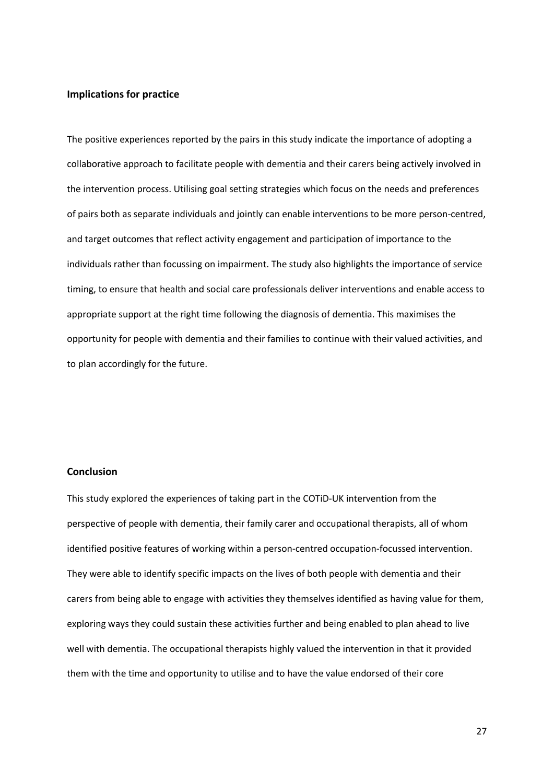# **Implications for practice**

The positive experiences reported by the pairs in this study indicate the importance of adopting a collaborative approach to facilitate people with dementia and their carers being actively involved in the intervention process. Utilising goal setting strategies which focus on the needs and preferences of pairs both as separate individuals and jointly can enable interventions to be more person-centred, and target outcomes that reflect activity engagement and participation of importance to the individuals rather than focussing on impairment. The study also highlights the importance of service timing, to ensure that health and social care professionals deliver interventions and enable access to appropriate support at the right time following the diagnosis of dementia. This maximises the opportunity for people with dementia and their families to continue with their valued activities, and to plan accordingly for the future.

## **Conclusion**

This study explored the experiences of taking part in the COTiD-UK intervention from the perspective of people with dementia, their family carer and occupational therapists, all of whom identified positive features of working within a person-centred occupation-focussed intervention. They were able to identify specific impacts on the lives of both people with dementia and their carers from being able to engage with activities they themselves identified as having value for them, exploring ways they could sustain these activities further and being enabled to plan ahead to live well with dementia. The occupational therapists highly valued the intervention in that it provided them with the time and opportunity to utilise and to have the value endorsed of their core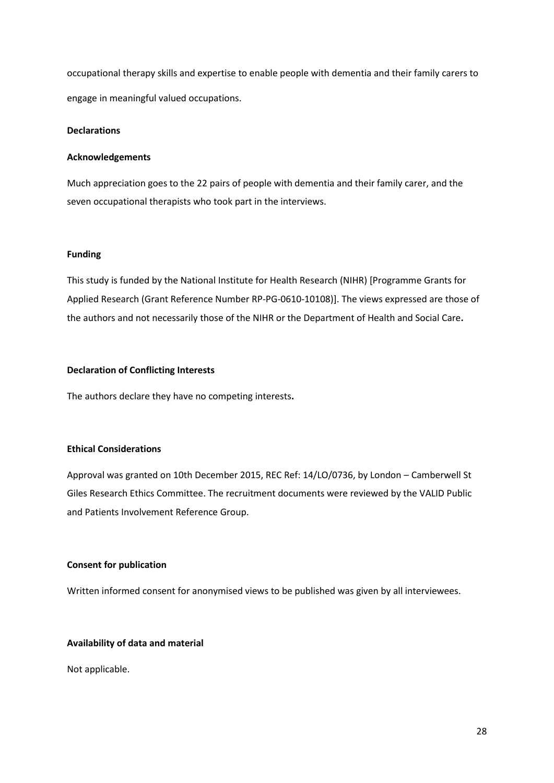occupational therapy skills and expertise to enable people with dementia and their family carers to engage in meaningful valued occupations.

# **Declarations**

## **Acknowledgements**

Much appreciation goes to the 22 pairs of people with dementia and their family carer, and the seven occupational therapists who took part in the interviews.

## **Funding**

This study is funded by the National Institute for Health Research (NIHR) [Programme Grants for Applied Research (Grant Reference Number RP-PG-0610-10108)]. The views expressed are those of the authors and not necessarily those of the NIHR or the Department of Health and Social Care**.**

## **Declaration of Conflicting Interests**

The authors declare they have no competing interests**.**

## **Ethical Considerations**

Approval was granted on 10th December 2015, REC Ref: 14/LO/0736, by London – Camberwell St Giles Research Ethics Committee. The recruitment documents were reviewed by the VALID Public and Patients Involvement Reference Group.

# **Consent for publication**

Written informed consent for anonymised views to be published was given by all interviewees.

## **Availability of data and material**

Not applicable.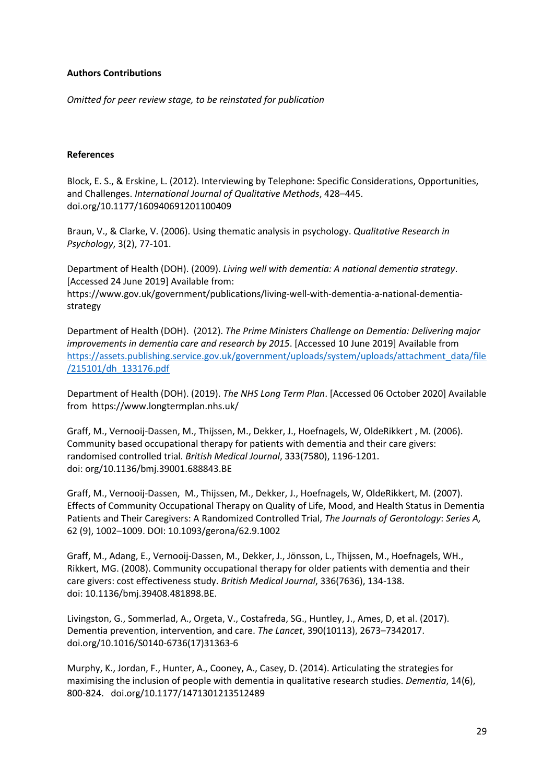# **Authors Contributions**

*Omitted for peer review stage, to be reinstated for publication*

# **References**

Block, E. S., & Erskine, L. (2012). Interviewing by Telephone: Specific Considerations, Opportunities, and Challenges. *International Journal of Qualitative Methods*, 428–445. doi.org/10.1177/160940691201100409

Braun, V., & Clarke, V. (2006). Using thematic analysis in psychology. *Qualitative Research in Psychology*, 3(2), 77-101.

Department of Health (DOH). (2009). *Living well with dementia: A national dementia strategy*. [Accessed 24 June 2019] Available from: https://www.gov.uk/government/publications/living-well-with-dementia-a-national-dementiastrategy

Department of Health (DOH). (2012). *The Prime Ministers Challenge on Dementia: Delivering major improvements in dementia care and research by 2015*. [Accessed 10 June 2019] Available from [https://assets.publishing.service.gov.uk/government/uploads/system/uploads/attachment\\_data/file](https://assets.publishing.service.gov.uk/government/uploads/system/uploads/attachment_data/file/215101/dh_133176.pdf) [/215101/dh\\_133176.pdf](https://assets.publishing.service.gov.uk/government/uploads/system/uploads/attachment_data/file/215101/dh_133176.pdf)

Department of Health (DOH). (2019). *The NHS Long Term Plan*. [Accessed 06 October 2020] Available from https://www.longtermplan.nhs.uk/

Graff, M., Vernooij-Dassen, M., Thijssen, M., Dekker, J., Hoefnagels, W, OldeRikkert , M. (2006). Community based occupational therapy for patients with dementia and their care givers: randomised controlled trial. *British Medical Journal*, 333(7580), 1196-1201. doi: org/10.1136/bmj.39001.688843.BE

Graff, M., Vernooij-Dassen, M., Thijssen, M., Dekker, J., Hoefnagels, W, OldeRikkert, M. (2007). Effects of Community Occupational Therapy on Quality of Life, Mood, and Health Status in Dementia Patients and Their Caregivers: A Randomized Controlled Trial, *The Journals of Gerontology*: *Series A,* 62 (9), 1002–1009. DOI: 10.1093/gerona/62.9.1002

Graff, M., Adang, E., Vernooij-Dassen, M., Dekker, J., Jönsson, L., Thijssen, M., Hoefnagels, WH., Rikkert, MG. (2008). Community occupational therapy for older patients with dementia and their care givers: cost effectiveness study. *British Medical Journal*, 336(7636), 134-138. doi: 10.1136/bmj.39408.481898.BE.

Livingston, G., Sommerlad, A., Orgeta, V., Costafreda, SG., Huntley, J., Ames, D, et al. (2017). Dementia prevention, intervention, and care. *The Lancet*, 390(10113), 2673–7342017. doi.org/10.1016/S0140-6736(17)31363-6

Murphy, K., Jordan, F., Hunter, A., Cooney, A., Casey, D. (2014). Articulating the strategies for maximising the inclusion of people with dementia in qualitative research studies. *Dementia*, 14(6), 800-824. doi.org/10.1177/1471301213512489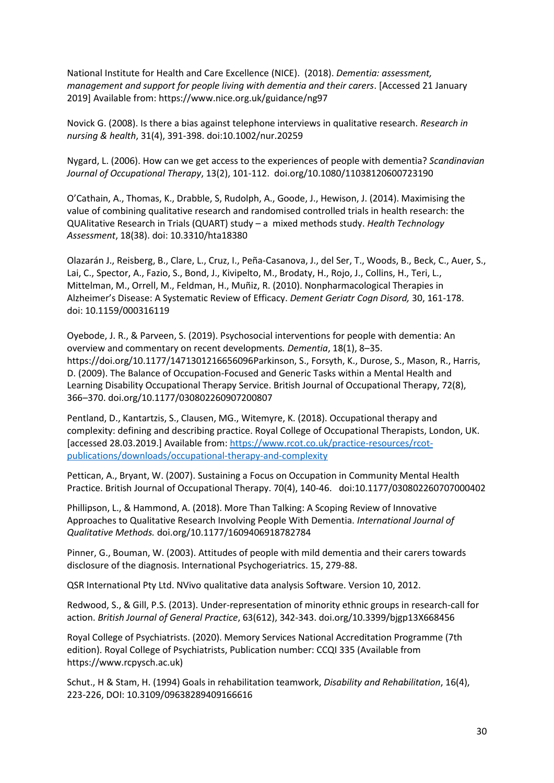National Institute for Health and Care Excellence (NICE). (2018). *Dementia: assessment, management and support for people living with dementia and their carers*. [Accessed 21 January 2019] Available from: https://www.nice.org.uk/guidance/ng97

Novick G. (2008). Is there a bias against telephone interviews in qualitative research. *Research in nursing & health*, 31(4), 391-398. doi:10.1002/nur.20259

Nygard, L. (2006). How can we get access to the experiences of people with dementia? *Scandinavian Journal of Occupational Therapy*, 13(2), 101-112. doi.org/10.1080/11038120600723190

O'Cathain, A., Thomas, K., Drabble, S, Rudolph, A., Goode, J., Hewison, J. (2014). Maximising the value of combining qualitative research and randomised controlled trials in health research: the QUAlitative Research in Trials (QUART) study – a mixed methods study. *Health Technology Assessment*, 18(38). doi: 10.3310/hta18380

Olazarán J., Reisberg, B., Clare, L., Cruz, I., Peña-Casanova, J., del Ser, T., Woods, B., Beck, C., Auer, S., Lai, C., Spector, A., Fazio, S., Bond, J., Kivipelto, M., Brodaty, H., Rojo, J., Collins, H., Teri, L., Mittelman, M., Orrell, M., Feldman, H., Muñiz, R. (2010). Nonpharmacological Therapies in Alzheimer's Disease: A Systematic Review of Efficacy. *Dement Geriatr Cogn Disord,* 30, 161-178. doi: 10.1159/000316119

Oyebode, J. R., & Parveen, S. (2019). Psychosocial interventions for people with dementia: An overview and commentary on recent developments*. Dementia*, 18(1), 8–35. https://doi.org/10.1177/1471301216656096Parkinson, S., Forsyth, K., Durose, S., Mason, R., Harris, D. (2009). The Balance of Occupation-Focused and Generic Tasks within a Mental Health and Learning Disability Occupational Therapy Service. British Journal of Occupational Therapy, 72(8), 366–370. doi.org/10.1177/030802260907200807

Pentland, D., Kantartzis, S., Clausen, MG., Witemyre, K. (2018). Occupational therapy and complexity: defining and describing practice. Royal College of Occupational Therapists, London, UK. [accessed 28.03.2019.] Available from: [https://www.rcot.co.uk/practice-resources/rcot](https://www.rcot.co.uk/practice-resources/rcot-publications/downloads/occupational-therapy-and-complexity)[publications/downloads/occupational-therapy-and-complexity](https://www.rcot.co.uk/practice-resources/rcot-publications/downloads/occupational-therapy-and-complexity)

Pettican, A., Bryant, W. (2007). Sustaining a Focus on Occupation in Community Mental Health Practice. British Journal of Occupational Therapy. 70(4), 140-46. doi:10.1177/030802260707000402

Phillipson, L., & Hammond, A. (2018). More Than Talking: A Scoping Review of Innovative Approaches to Qualitative Research Involving People With Dementia. *International Journal of Qualitative Methods.* doi.org/10.1177/1609406918782784

Pinner, G., Bouman, W. (2003). Attitudes of people with mild dementia and their carers towards disclosure of the diagnosis. International Psychogeriatrics. 15, 279-88.

QSR International Pty Ltd. NVivo qualitative data analysis Software. Version 10, 2012.

Redwood, S., & Gill, P.S. (2013). Under-representation of minority ethnic groups in research-call for action. *British Journal of General Practice*, 63(612), 342-343. doi.org/10.3399/bjgp13X668456

Royal College of Psychiatrists. (2020). Memory Services National Accreditation Programme (7th edition). Royal College of Psychiatrists, Publication number: CCQI 335 (Available from https://www.rcpysch.ac.uk)

Schut., H & Stam, H. (1994) Goals in rehabilitation teamwork, *Disability and Rehabilitation*, 16(4), 223-226, DOI: 10.3109/09638289409166616